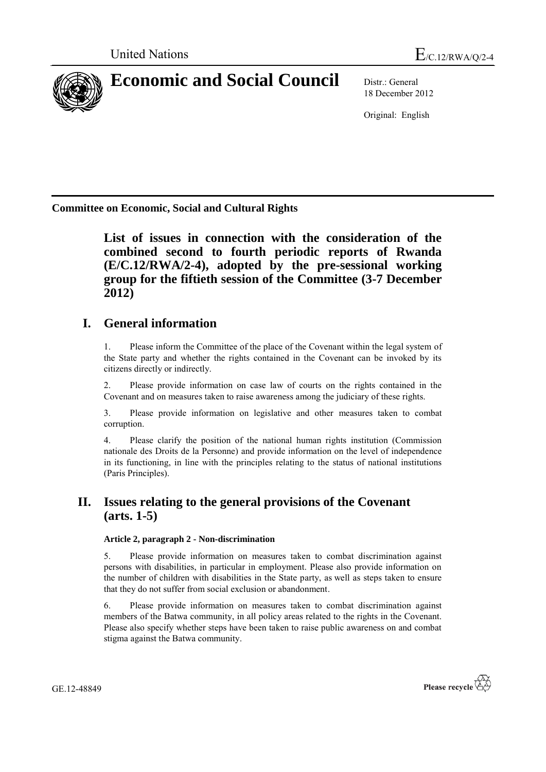

# **Economic and Social Council** Distr.: General

18 December 2012

Original: English

**Committee on Economic, Social and Cultural Rights**

**List of issues in connection with the consideration of the combined second to fourth periodic reports of Rwanda (E/C.12/RWA/2-4), adopted by the pre-sessional working group for the fiftieth session of the Committee (3-7 December 2012)**

# **I. General information**

1. Please inform the Committee of the place of the Covenant within the legal system of the State party and whether the rights contained in the Covenant can be invoked by its citizens directly or indirectly.

2. Please provide information on case law of courts on the rights contained in the Covenant and on measures taken to raise awareness among the judiciary of these rights.

3. Please provide information on legislative and other measures taken to combat corruption.

4. Please clarify the position of the national human rights institution (Commission nationale des Droits de la Personne) and provide information on the level of independence in its functioning, in line with the principles relating to the status of national institutions (Paris Principles).

## **II. Issues relating to the general provisions of the Covenant (arts. 1-5)**

### **Article 2, paragraph 2 - Non-discrimination**

5. Please provide information on measures taken to combat discrimination against persons with disabilities, in particular in employment. Please also provide information on the number of children with disabilities in the State party, as well as steps taken to ensure that they do not suffer from social exclusion or abandonment.

6. Please provide information on measures taken to combat discrimination against members of the Batwa community, in all policy areas related to the rights in the Covenant. Please also specify whether steps have been taken to raise public awareness on and combat stigma against the Batwa community.

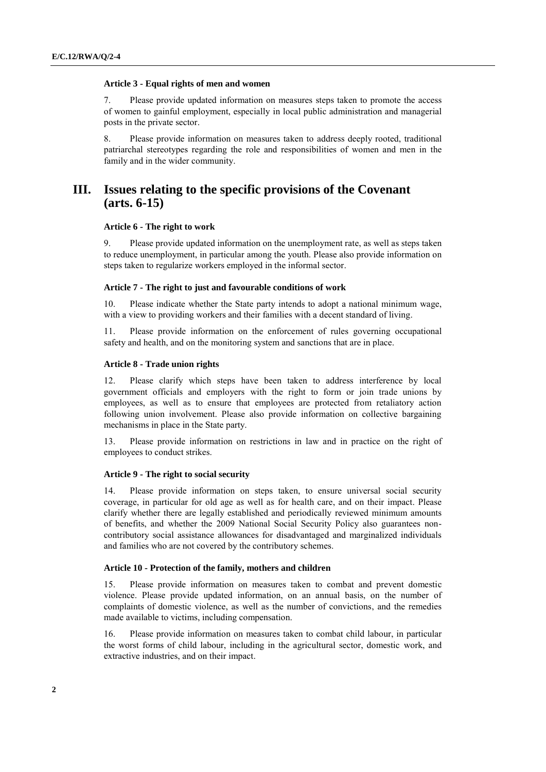#### **Article 3 - Equal rights of men and women**

7. Please provide updated information on measures steps taken to promote the access of women to gainful employment, especially in local public administration and managerial posts in the private sector.

8. Please provide information on measures taken to address deeply rooted, traditional patriarchal stereotypes regarding the role and responsibilities of women and men in the family and in the wider community.

### **III. Issues relating to the specific provisions of the Covenant (arts. 6-15)**

#### **Article 6 - The right to work**

9. Please provide updated information on the unemployment rate, as well as steps taken to reduce unemployment, in particular among the youth. Please also provide information on steps taken to regularize workers employed in the informal sector.

#### **Article 7 - The right to just and favourable conditions of work**

Please indicate whether the State party intends to adopt a national minimum wage, with a view to providing workers and their families with a decent standard of living.

11. Please provide information on the enforcement of rules governing occupational safety and health, and on the monitoring system and sanctions that are in place.

#### **Article 8 - Trade union rights**

12. Please clarify which steps have been taken to address interference by local government officials and employers with the right to form or join trade unions by employees, as well as to ensure that employees are protected from retaliatory action following union involvement. Please also provide information on collective bargaining mechanisms in place in the State party.

13. Please provide information on restrictions in law and in practice on the right of employees to conduct strikes.

#### **Article 9 - The right to social security**

14. Please provide information on steps taken, to ensure universal social security coverage, in particular for old age as well as for health care, and on their impact. Please clarify whether there are legally established and periodically reviewed minimum amounts of benefits, and whether the 2009 National Social Security Policy also guarantees noncontributory social assistance allowances for disadvantaged and marginalized individuals and families who are not covered by the contributory schemes.

#### **Article 10 - Protection of the family, mothers and children**

15. Please provide information on measures taken to combat and prevent domestic violence. Please provide updated information, on an annual basis, on the number of complaints of domestic violence, as well as the number of convictions, and the remedies made available to victims, including compensation.

16. Please provide information on measures taken to combat child labour, in particular the worst forms of child labour, including in the agricultural sector, domestic work, and extractive industries, and on their impact.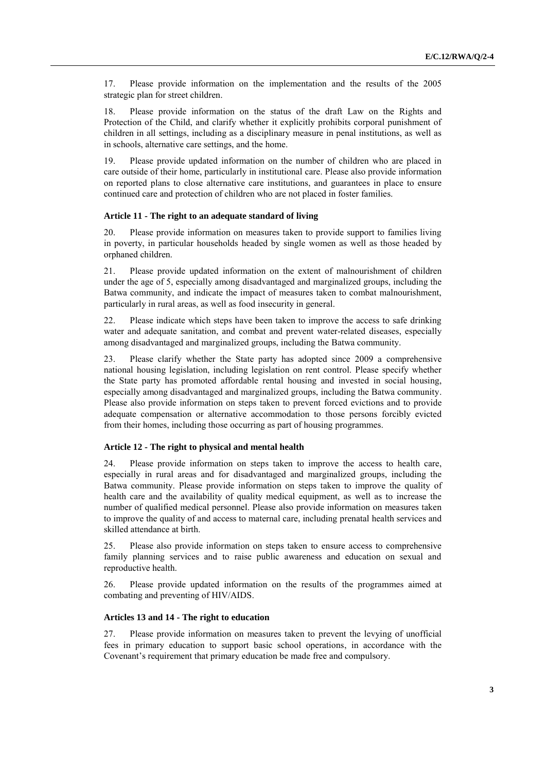17. Please provide information on the implementation and the results of the 2005 strategic plan for street children.

18. Please provide information on the status of the draft Law on the Rights and Protection of the Child, and clarify whether it explicitly prohibits corporal punishment of children in all settings, including as a disciplinary measure in penal institutions, as well as in schools, alternative care settings, and the home.

19. Please provide updated information on the number of children who are placed in care outside of their home, particularly in institutional care. Please also provide information on reported plans to close alternative care institutions, and guarantees in place to ensure continued care and protection of children who are not placed in foster families.

#### **Article 11 - The right to an adequate standard of living**

20. Please provide information on measures taken to provide support to families living in poverty, in particular households headed by single women as well as those headed by orphaned children.

21. Please provide updated information on the extent of malnourishment of children under the age of 5, especially among disadvantaged and marginalized groups, including the Batwa community, and indicate the impact of measures taken to combat malnourishment, particularly in rural areas, as well as food insecurity in general.

22. Please indicate which steps have been taken to improve the access to safe drinking water and adequate sanitation, and combat and prevent water-related diseases, especially among disadvantaged and marginalized groups, including the Batwa community.

23. Please clarify whether the State party has adopted since 2009 a comprehensive national housing legislation, including legislation on rent control. Please specify whether the State party has promoted affordable rental housing and invested in social housing, especially among disadvantaged and marginalized groups, including the Batwa community. Please also provide information on steps taken to prevent forced evictions and to provide adequate compensation or alternative accommodation to those persons forcibly evicted from their homes, including those occurring as part of housing programmes.

#### **Article 12 - The right to physical and mental health**

24. Please provide information on steps taken to improve the access to health care, especially in rural areas and for disadvantaged and marginalized groups, including the Batwa community. Please provide information on steps taken to improve the quality of health care and the availability of quality medical equipment, as well as to increase the number of qualified medical personnel. Please also provide information on measures taken to improve the quality of and access to maternal care, including prenatal health services and skilled attendance at birth.

25. Please also provide information on steps taken to ensure access to comprehensive family planning services and to raise public awareness and education on sexual and reproductive health.

26. Please provide updated information on the results of the programmes aimed at combating and preventing of HIV/AIDS.

### **Articles 13 and 14 - The right to education**

27. Please provide information on measures taken to prevent the levying of unofficial fees in primary education to support basic school operations, in accordance with the Covenant's requirement that primary education be made free and compulsory.